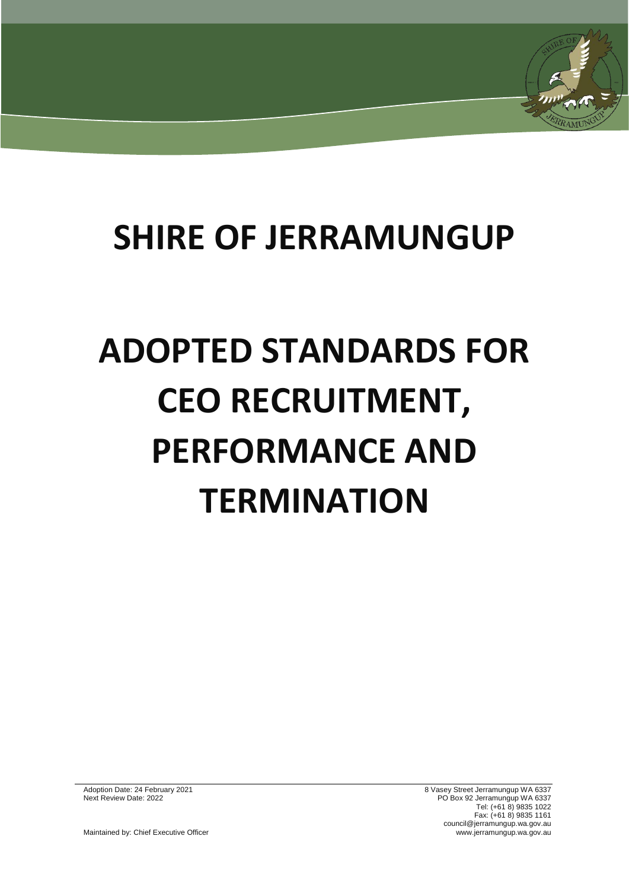# **SHIRE OF JERRAMUNGUP**

# **ADOPTED STANDARDS FOR CEO RECRUITMENT, PERFORMANCE AND TERMINATION**

Adoption Date: 24 February 2021 8 Vasey Street Jerramungup WA 6337 Next Review Date: 2022 PO Box 92 Jerramungup WA 6337 Tel: (+61 8) 9835 1022 Fax: (+61 8) 9835 1161 council@jerramungup.wa.gov.au Maintained by: Chief Executive Officer www.jerramungup.wa.gov.au chief Executive Officer www.jerramungup.wa.gov.au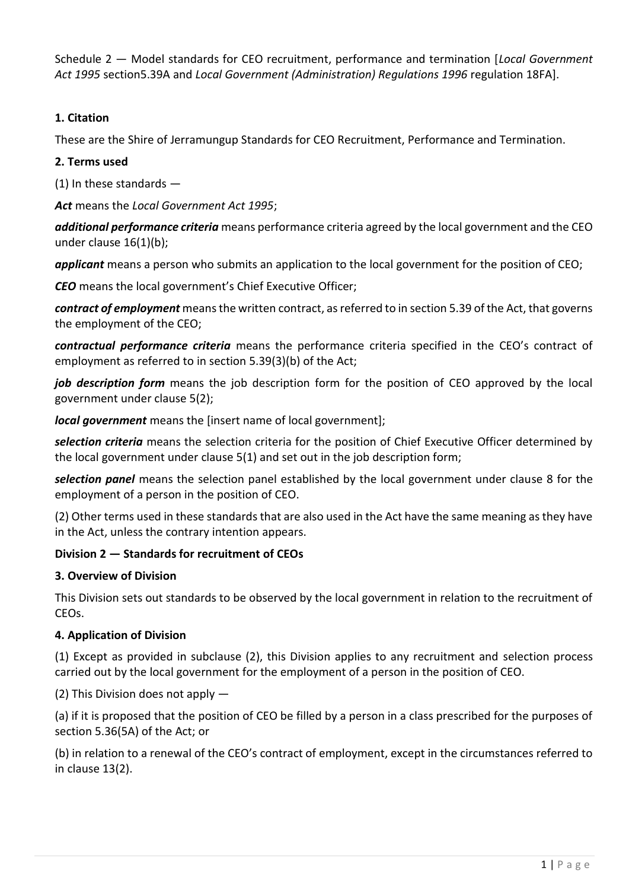Schedule 2 — Model standards for CEO recruitment, performance and termination [*Local Government Act 1995* section5.39A and *Local Government (Administration) Regulations 1996* regulation 18FA].

# **1. Citation**

These are the Shire of Jerramungup Standards for CEO Recruitment, Performance and Termination.

## **2. Terms used**

(1) In these standards —

*Act* means the *Local Government Act 1995*;

*additional performance criteria* means performance criteria agreed by the local government and the CEO under clause 16(1)(b);

*applicant* means a person who submits an application to the local government for the position of CEO;

*CEO* means the local government's Chief Executive Officer;

*contract of employment* means the written contract, as referred to in section 5.39 of the Act, that governs the employment of the CEO;

*contractual performance criteria* means the performance criteria specified in the CEO's contract of employment as referred to in section 5.39(3)(b) of the Act;

job description form means the job description form for the position of CEO approved by the local government under clause 5(2);

*local government* means the [insert name of local government];

*selection criteria* means the selection criteria for the position of Chief Executive Officer determined by the local government under clause 5(1) and set out in the job description form;

*selection panel* means the selection panel established by the local government under clause 8 for the employment of a person in the position of CEO.

(2) Other terms used in these standards that are also used in the Act have the same meaning as they have in the Act, unless the contrary intention appears.

# **Division 2 — Standards for recruitment of CEOs**

## **3. Overview of Division**

This Division sets out standards to be observed by the local government in relation to the recruitment of CEOs.

# **4. Application of Division**

(1) Except as provided in subclause (2), this Division applies to any recruitment and selection process carried out by the local government for the employment of a person in the position of CEO.

(2) This Division does not apply —

(a) if it is proposed that the position of CEO be filled by a person in a class prescribed for the purposes of section 5.36(5A) of the Act; or

(b) in relation to a renewal of the CEO's contract of employment, except in the circumstances referred to in clause 13(2).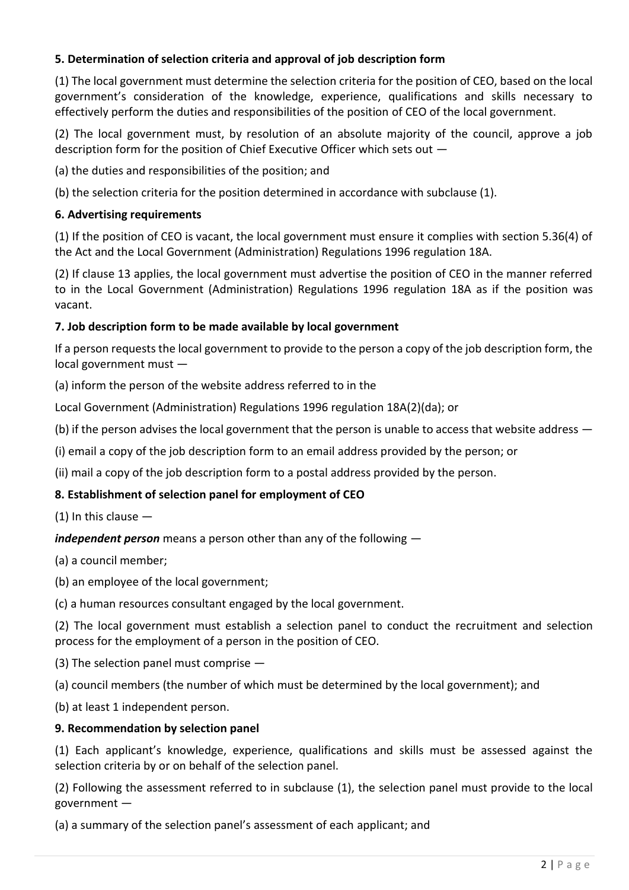# **5. Determination of selection criteria and approval of job description form**

(1) The local government must determine the selection criteria for the position of CEO, based on the local government's consideration of the knowledge, experience, qualifications and skills necessary to effectively perform the duties and responsibilities of the position of CEO of the local government.

(2) The local government must, by resolution of an absolute majority of the council, approve a job description form for the position of Chief Executive Officer which sets out —

(a) the duties and responsibilities of the position; and

(b) the selection criteria for the position determined in accordance with subclause (1).

#### **6. Advertising requirements**

(1) If the position of CEO is vacant, the local government must ensure it complies with section 5.36(4) of the Act and the Local Government (Administration) Regulations 1996 regulation 18A.

(2) If clause 13 applies, the local government must advertise the position of CEO in the manner referred to in the Local Government (Administration) Regulations 1996 regulation 18A as if the position was vacant.

#### **7. Job description form to be made available by local government**

If a person requests the local government to provide to the person a copy of the job description form, the local government must —

(a) inform the person of the website address referred to in the

Local Government (Administration) Regulations 1996 regulation 18A(2)(da); or

(b) if the person advises the local government that the person is unable to access that website address —

(i) email a copy of the job description form to an email address provided by the person; or

(ii) mail a copy of the job description form to a postal address provided by the person.

#### **8. Establishment of selection panel for employment of CEO**

 $(1)$  In this clause  $-$ 

*independent person* means a person other than any of the following —

(a) a council member;

(b) an employee of the local government;

(c) a human resources consultant engaged by the local government.

(2) The local government must establish a selection panel to conduct the recruitment and selection process for the employment of a person in the position of CEO.

(3) The selection panel must comprise —

(a) council members (the number of which must be determined by the local government); and

(b) at least 1 independent person.

#### **9. Recommendation by selection panel**

(1) Each applicant's knowledge, experience, qualifications and skills must be assessed against the selection criteria by or on behalf of the selection panel.

(2) Following the assessment referred to in subclause (1), the selection panel must provide to the local government —

(a) a summary of the selection panel's assessment of each applicant; and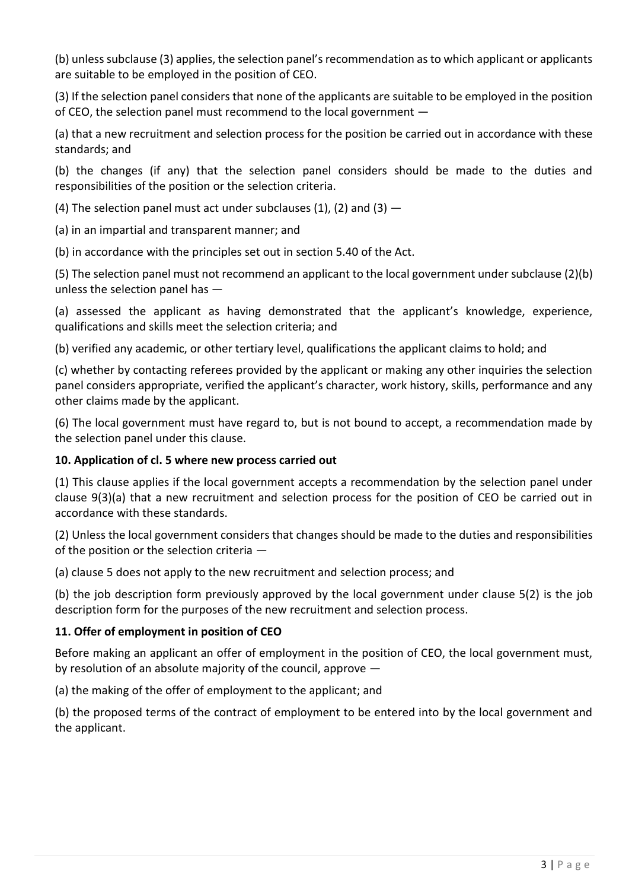(b) unless subclause (3) applies, the selection panel's recommendation as to which applicant or applicants are suitable to be employed in the position of CEO.

(3) If the selection panel considers that none of the applicants are suitable to be employed in the position of CEO, the selection panel must recommend to the local government —

(a) that a new recruitment and selection process for the position be carried out in accordance with these standards; and

(b) the changes (if any) that the selection panel considers should be made to the duties and responsibilities of the position or the selection criteria.

(4) The selection panel must act under subclauses (1), (2) and (3)  $-$ 

(a) in an impartial and transparent manner; and

(b) in accordance with the principles set out in section 5.40 of the Act.

(5) The selection panel must not recommend an applicant to the local government under subclause (2)(b) unless the selection panel has —

(a) assessed the applicant as having demonstrated that the applicant's knowledge, experience, qualifications and skills meet the selection criteria; and

(b) verified any academic, or other tertiary level, qualifications the applicant claims to hold; and

(c) whether by contacting referees provided by the applicant or making any other inquiries the selection panel considers appropriate, verified the applicant's character, work history, skills, performance and any other claims made by the applicant.

(6) The local government must have regard to, but is not bound to accept, a recommendation made by the selection panel under this clause.

## **10. Application of cl. 5 where new process carried out**

(1) This clause applies if the local government accepts a recommendation by the selection panel under clause 9(3)(a) that a new recruitment and selection process for the position of CEO be carried out in accordance with these standards.

(2) Unless the local government considers that changes should be made to the duties and responsibilities of the position or the selection criteria —

(a) clause 5 does not apply to the new recruitment and selection process; and

(b) the job description form previously approved by the local government under clause 5(2) is the job description form for the purposes of the new recruitment and selection process.

## **11. Offer of employment in position of CEO**

Before making an applicant an offer of employment in the position of CEO, the local government must, by resolution of an absolute majority of the council, approve —

(a) the making of the offer of employment to the applicant; and

(b) the proposed terms of the contract of employment to be entered into by the local government and the applicant.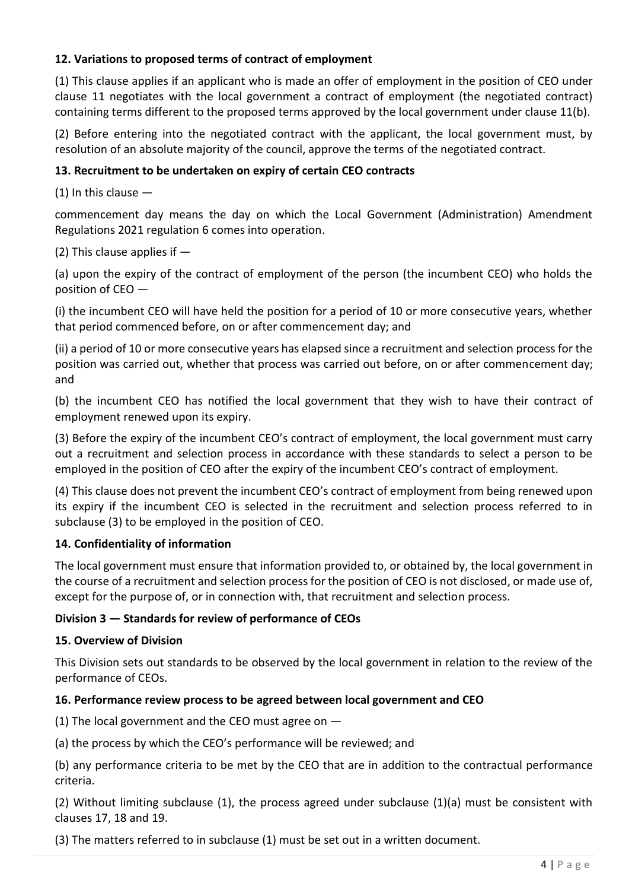# **12. Variations to proposed terms of contract of employment**

(1) This clause applies if an applicant who is made an offer of employment in the position of CEO under clause 11 negotiates with the local government a contract of employment (the negotiated contract) containing terms different to the proposed terms approved by the local government under clause 11(b).

(2) Before entering into the negotiated contract with the applicant, the local government must, by resolution of an absolute majority of the council, approve the terms of the negotiated contract.

#### **13. Recruitment to be undertaken on expiry of certain CEO contracts**

 $(1)$  In this clause  $-$ 

commencement day means the day on which the Local Government (Administration) Amendment Regulations 2021 regulation 6 comes into operation.

(2) This clause applies if —

(a) upon the expiry of the contract of employment of the person (the incumbent CEO) who holds the position of CEO —

(i) the incumbent CEO will have held the position for a period of 10 or more consecutive years, whether that period commenced before, on or after commencement day; and

(ii) a period of 10 or more consecutive years has elapsed since a recruitment and selection process for the position was carried out, whether that process was carried out before, on or after commencement day; and

(b) the incumbent CEO has notified the local government that they wish to have their contract of employment renewed upon its expiry.

(3) Before the expiry of the incumbent CEO's contract of employment, the local government must carry out a recruitment and selection process in accordance with these standards to select a person to be employed in the position of CEO after the expiry of the incumbent CEO's contract of employment.

(4) This clause does not prevent the incumbent CEO's contract of employment from being renewed upon its expiry if the incumbent CEO is selected in the recruitment and selection process referred to in subclause (3) to be employed in the position of CEO.

## **14. Confidentiality of information**

The local government must ensure that information provided to, or obtained by, the local government in the course of a recruitment and selection process for the position of CEO is not disclosed, or made use of, except for the purpose of, or in connection with, that recruitment and selection process.

#### **Division 3 — Standards for review of performance of CEOs**

#### **15. Overview of Division**

This Division sets out standards to be observed by the local government in relation to the review of the performance of CEOs.

#### **16. Performance review process to be agreed between local government and CEO**

(1) The local government and the CEO must agree on —

(a) the process by which the CEO's performance will be reviewed; and

(b) any performance criteria to be met by the CEO that are in addition to the contractual performance criteria.

(2) Without limiting subclause (1), the process agreed under subclause (1)(a) must be consistent with clauses 17, 18 and 19.

(3) The matters referred to in subclause (1) must be set out in a written document.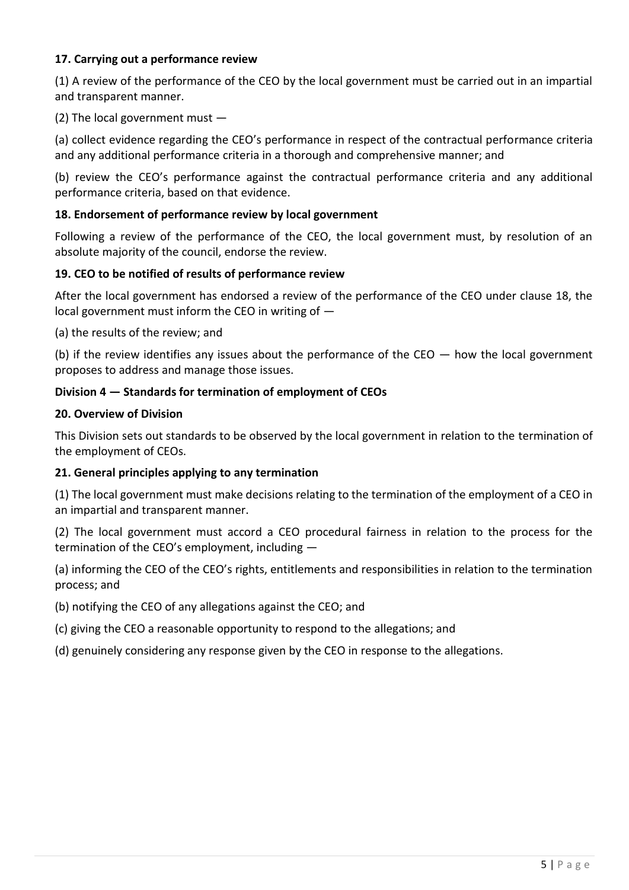# **17. Carrying out a performance review**

(1) A review of the performance of the CEO by the local government must be carried out in an impartial and transparent manner.

(2) The local government must —

(a) collect evidence regarding the CEO's performance in respect of the contractual performance criteria and any additional performance criteria in a thorough and comprehensive manner; and

(b) review the CEO's performance against the contractual performance criteria and any additional performance criteria, based on that evidence.

# **18. Endorsement of performance review by local government**

Following a review of the performance of the CEO, the local government must, by resolution of an absolute majority of the council, endorse the review.

## **19. CEO to be notified of results of performance review**

After the local government has endorsed a review of the performance of the CEO under clause 18, the local government must inform the CEO in writing of  $-$ 

(a) the results of the review; and

(b) if the review identifies any issues about the performance of the CEO — how the local government proposes to address and manage those issues.

## **Division 4 — Standards for termination of employment of CEOs**

## **20. Overview of Division**

This Division sets out standards to be observed by the local government in relation to the termination of the employment of CEOs.

## **21. General principles applying to any termination**

(1) The local government must make decisions relating to the termination of the employment of a CEO in an impartial and transparent manner.

(2) The local government must accord a CEO procedural fairness in relation to the process for the termination of the CEO's employment, including —

(a) informing the CEO of the CEO's rights, entitlements and responsibilities in relation to the termination process; and

(b) notifying the CEO of any allegations against the CEO; and

(c) giving the CEO a reasonable opportunity to respond to the allegations; and

(d) genuinely considering any response given by the CEO in response to the allegations.